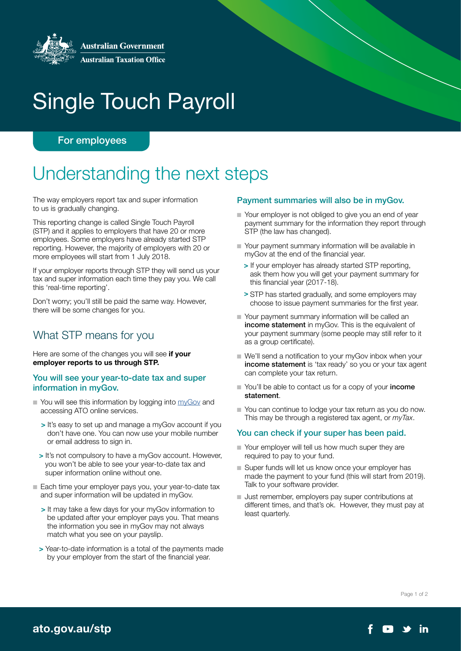

# Single Touch Payroll

# For employees

# Understanding the next steps

The way employers report tax and super information to us is gradually changing.

This reporting change is called Single Touch Payroll (STP) and it applies to employers that have 20 or more employees. Some employers have already started STP reporting. However, the majority of employers with 20 or more employees will start from 1 July 2018.

If your employer reports through STP they will send us your tax and super information each time they pay you. We call this 'real-time reporting'.

Don't worry; you'll still be paid the same way. However, there will be some changes for you.

# What STP means for you

Here are some of the changes you will see if your employer reports to us through STP.

#### You will see your year-to-date tax and super information in myGov.

- You will see this information by logging into [myGov](http://my.gov.au) and accessing ATO online services.
	- > It's easy to set up and manage a myGov account if you don't have one. You can now use your mobile number or email address to sign in.
	- > It's not compulsory to have a myGov account. However, you won't be able to see your year-to-date tax and super information online without one.
- Each time your employer pays you, your year-to-date tax and super information will be updated in myGov.
	- > It may take a few days for your myGov information to be updated after your employer pays you. That means the information you see in myGov may not always match what you see on your payslip.
	- > Year-to-date information is a total of the payments made by your employer from the start of the financial year.

#### Payment summaries will also be in myGov.

- Your employer is not obliged to give you an end of year payment summary for the information they report through STP (the law has changed).
- Your payment summary information will be available in myGov at the end of the financial year.
	- > If your employer has already started STP reporting, ask them how you will get your payment summary for this financial year (2017-18).
	- > STP has started gradually, and some employers may choose to issue payment summaries for the first year.
- Your payment summary information will be called an income statement in myGov. This is the equivalent of your payment summary (some people may still refer to it as a group certificate).
- We'll send a notification to your myGov inbox when your income statement is 'tax ready' so you or your tax agent can complete your tax return.
- You'll be able to contact us for a copy of your **income** statement.
- You can continue to lodge your tax return as you do now. This may be through a registered tax agent, or *myTax*.

#### You can check if your super has been paid.

- Your employer will tell us how much super they are required to pay to your fund.
- Super funds will let us know once your employer has made the payment to your fund (this will start from 2019). Talk to your software provider.
- Just remember, employers pay super contributions at different times, and that's ok. However, they must pay at least quarterly.